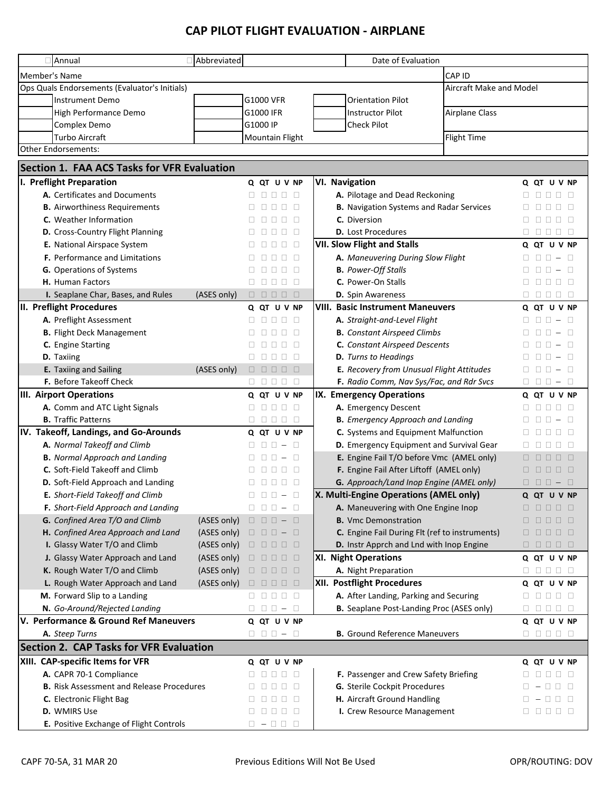## **CAP PILOT FLIGHT EVALUATION - AIRPLANE**

| Abbreviated<br>Annual                              |             |                                                                                                                                    |                                                 | Date of Evaluation                               |                       |                                                                                                             |  |  |  |
|----------------------------------------------------|-------------|------------------------------------------------------------------------------------------------------------------------------------|-------------------------------------------------|--------------------------------------------------|-----------------------|-------------------------------------------------------------------------------------------------------------|--|--|--|
| Member's Name                                      |             |                                                                                                                                    |                                                 |                                                  | CAP ID                |                                                                                                             |  |  |  |
| Ops Quals Endorsements (Evaluator's Initials)      |             |                                                                                                                                    |                                                 | Aircraft Make and Model                          |                       |                                                                                                             |  |  |  |
| <b>Instrument Demo</b>                             |             | G1000 VFR                                                                                                                          |                                                 | <b>Orientation Pilot</b>                         |                       |                                                                                                             |  |  |  |
| High Performance Demo                              |             | G1000 IFR                                                                                                                          |                                                 | <b>Instructor Pilot</b>                          | <b>Airplane Class</b> |                                                                                                             |  |  |  |
| Complex Demo                                       |             | G1000 IP                                                                                                                           |                                                 | <b>Check Pilot</b>                               |                       |                                                                                                             |  |  |  |
| <b>Turbo Aircraft</b>                              |             | Mountain Flight                                                                                                                    |                                                 |                                                  | <b>Flight Time</b>    |                                                                                                             |  |  |  |
| <b>Other Endorsements:</b>                         |             |                                                                                                                                    |                                                 |                                                  |                       |                                                                                                             |  |  |  |
| <b>Section 1. FAA ACS Tasks for VFR Evaluation</b> |             |                                                                                                                                    |                                                 |                                                  |                       |                                                                                                             |  |  |  |
|                                                    |             |                                                                                                                                    |                                                 |                                                  |                       |                                                                                                             |  |  |  |
| I. Preflight Preparation                           |             | Q QT U V NP                                                                                                                        | <b>VI. Navigation</b>                           |                                                  |                       | Q QT U V NP                                                                                                 |  |  |  |
| A. Certificates and Documents                      |             | 00000                                                                                                                              |                                                 | A. Pilotage and Dead Reckoning                   |                       | 00000                                                                                                       |  |  |  |
| <b>B.</b> Airworthiness Requirements               |             | 00000                                                                                                                              | <b>B.</b> Navigation Systems and Radar Services |                                                  | 88888<br>$\Box$       |                                                                                                             |  |  |  |
| C. Weather Information                             |             | 00000                                                                                                                              |                                                 | C. Diversion                                     |                       | 00000                                                                                                       |  |  |  |
| D. Cross-Country Flight Planning                   |             | 000 O                                                                                                                              |                                                 | <b>D.</b> Lost Procedures                        |                       | 00000                                                                                                       |  |  |  |
| E. National Airspace System                        |             | 00000                                                                                                                              |                                                 | <b>VII. Slow Flight and Stalls</b>               |                       | Q QT U V NP                                                                                                 |  |  |  |
| <b>F.</b> Performance and Limitations              |             | 00000                                                                                                                              |                                                 | A. Maneuvering During Slow Flight                |                       | $0 0 0 - 0$                                                                                                 |  |  |  |
| <b>G.</b> Operations of Systems                    |             | 00000                                                                                                                              |                                                 | <b>B.</b> Power-Off Stalls                       |                       | $\Box$ $\Box$ $\Box$ $\Box$ $\Box$ $\Box$                                                                   |  |  |  |
| H. Human Factors                                   |             | 00000                                                                                                                              |                                                 | C. Power-On Stalls                               |                       | 00000                                                                                                       |  |  |  |
| I. Seaplane Char, Bases, and Rules                 | (ASES only) | $\begin{array}{c c c c c c} \Box & \Box & \Box & \Box & \Box \end{array}$                                                          |                                                 | D. Spin Awareness                                |                       | 00000                                                                                                       |  |  |  |
| II. Preflight Procedures                           |             | Q QT U V NP                                                                                                                        |                                                 | <b>VIII. Basic Instrument Maneuvers</b>          |                       | Q QT U V NP                                                                                                 |  |  |  |
| A. Preflight Assessment                            |             | 00000                                                                                                                              |                                                 | A. Straight-and-Level Flight                     |                       | $\Box$ $\Box$ $\Box$ $\Box$<br>П.                                                                           |  |  |  |
| <b>B.</b> Flight Deck Management                   |             | 00000                                                                                                                              |                                                 | <b>B.</b> Constant Airspeed Climbs               |                       | $\Box$ $\Box$ $ \Box$<br>$\Box$                                                                             |  |  |  |
| C. Engine Starting                                 |             | 00000                                                                                                                              |                                                 | C. Constant Airspeed Descents                    |                       | $\Box$<br>$ \Box$                                                                                           |  |  |  |
| D. Taxiing                                         |             | 00000                                                                                                                              |                                                 | D. Turns to Headings                             |                       | $\Box$ $\Box$ $\Box$ $\Box$                                                                                 |  |  |  |
| E. Taxiing and Sailing                             | (ASES only) | $\begin{array}{c c c c c c} \Box & \Box & \Box & \Box & \Box \end{array}$                                                          |                                                 | E. Recovery from Unusual Flight Attitudes        |                       |                                                                                                             |  |  |  |
| F. Before Takeoff Check                            |             | 00000                                                                                                                              |                                                 | F. Radio Comm, Nav Sys/Fac, and Rdr Svcs         |                       | $0 0 0 - 0$                                                                                                 |  |  |  |
| <b>III. Airport Operations</b>                     |             | Q QT U V NP                                                                                                                        |                                                 | IX. Emergency Operations                         |                       | Q QT U V NP                                                                                                 |  |  |  |
| A. Comm and ATC Light Signals                      |             | 00000                                                                                                                              |                                                 | A. Emergency Descent                             |                       | 8 8 8 8 8                                                                                                   |  |  |  |
| <b>B.</b> Traffic Patterns                         |             | 00000                                                                                                                              |                                                 | <b>B.</b> Emergency Approach and Landing         |                       |                                                                                                             |  |  |  |
| IV. Takeoff, Landings, and Go-Arounds              |             | Q QT U V NP                                                                                                                        |                                                 | C. Systems and Equipment Malfunction             |                       | $\begin{array}{cccccccccccccc} \Box & \Box & \Box & \Box & \Box \end{array}$<br>$\Box$                      |  |  |  |
| A. Normal Takeoff and Climb                        |             | $0 0 0 - 0$                                                                                                                        |                                                 | D. Emergency Equipment and Survival Gear         |                       | $\begin{array}{c c c c c c} \hline \textbf{a} & \textbf{a} & \textbf{b} & \textbf{c} \end{array}$<br>$\Box$ |  |  |  |
| <b>B.</b> Normal Approach and Landing              |             |                                                                                                                                    |                                                 | E. Engine Fail T/O before Vmc (AMEL only)        |                       | $\begin{array}{cccccccccccccc} \Box & \Box & \Box & \Box & \Box & \Box \end{array}$                         |  |  |  |
| C. Soft-Field Takeoff and Climb                    |             | 00000                                                                                                                              |                                                 | F. Engine Fail After Liftoff (AMEL only)         |                       | 00000                                                                                                       |  |  |  |
| D. Soft-Field Approach and Landing                 |             | 00000                                                                                                                              |                                                 | G. Approach/Land Inop Engine (AMEL only)         |                       | $\begin{array}{c} \square \ \square \ \square \ - \ \square \end{array}$                                    |  |  |  |
| E. Short-Field Takeoff and Climb                   |             | $0 0 0 - 0$                                                                                                                        |                                                 | X. Multi-Engine Operations (AMEL only)           |                       | Q QT U V NP                                                                                                 |  |  |  |
| F. Short-Field Approach and Landing                |             | $0 0 0 - 0$                                                                                                                        |                                                 | A. Maneuvering with One Engine Inop              |                       | 00000                                                                                                       |  |  |  |
| G. Confined Area T/O and Climb                     | (ASES only) | $\begin{array}{cccccccccccccc} \Box & \Box & \Box & \Box & - & \Box \end{array}$                                                   |                                                 | <b>B.</b> Vmc Demonstration                      |                       | $\Box$ $\Box$ $\Box$<br>$\Box$                                                                              |  |  |  |
| H. Confined Area Approach and Land                 | (ASES only) | $\begin{array}{c c c c c} \hline \Box & \Box & \Box & \Box \end{array} \begin{array}{c c c} \hline \Box & \Box & \Box \end{array}$ |                                                 | C. Engine Fail During Flt (ref to instruments)   |                       | $\begin{array}{c c c c c c} \Box & \Box & \Box & \Box & \Box \end{array}$                                   |  |  |  |
| I. Glassy Water T/O and Climb                      | (ASES only) | $\begin{array}{c c c c c} \Box & \Box & \Box & \Box & \Box \end{array} \begin{array}{c c c} \Box & \Box & \Box \end{array}$        |                                                 | D. Instr Apprch and Lnd with Inop Engine         |                       | $\begin{array}{c c c c c c} \Box & \Box & \Box & \Box & \Box \end{array}$                                   |  |  |  |
| J. Glassy Water Approach and Land                  | (ASES only) | $\begin{array}{c c c c c} \Box & \Box & \Box & \Box & \Box \end{array} \begin{array}{c c c} \Box & \Box & \Box \end{array}$        |                                                 | XI. Night Operations                             |                       | Q QT U V NP                                                                                                 |  |  |  |
| K. Rough Water T/O and Climb                       | (ASES only) | $\begin{array}{c c c c c c} \Box & \Box & \Box & \Box & \Box \end{array}$                                                          |                                                 | A. Night Preparation                             |                       | $\begin{array}{cccccccccccccc} 1 & 0 & 0 & 0 & 0 & 0 \\ \end{array}$                                        |  |  |  |
| L. Rough Water Approach and Land                   | (ASES only) | $\begin{array}{c c c c c c} \hline \Box & \Box & \Box & \Box & \Box \end{array} \begin{array}{c} \Box & \Box & \Box \end{array}$   |                                                 | XII. Postflight Procedures                       |                       | Q QT U V NP                                                                                                 |  |  |  |
| M. Forward Slip to a Landing                       |             | 00000                                                                                                                              |                                                 | A. After Landing, Parking and Securing           |                       | 00000                                                                                                       |  |  |  |
| N. Go-Around/Rejected Landing                      |             | $\begin{array}{cccccccccccccc} \Box & \Box & \Box & \Box & - & \Box \end{array}$                                                   |                                                 | <b>B.</b> Seaplane Post-Landing Proc (ASES only) |                       |                                                                                                             |  |  |  |
| V. Performance & Ground Ref Maneuvers              |             | Q QT U V NP                                                                                                                        |                                                 |                                                  |                       | Q QT U V NP                                                                                                 |  |  |  |
| A. Steep Turns                                     |             | $0 0 0 - 0$                                                                                                                        |                                                 | <b>B.</b> Ground Reference Maneuvers             |                       | 00000                                                                                                       |  |  |  |
| <b>Section 2. CAP Tasks for VFR Evaluation</b>     |             |                                                                                                                                    |                                                 |                                                  |                       |                                                                                                             |  |  |  |
| XIII. CAP-specific Items for VFR                   |             | Q QT U V NP                                                                                                                        |                                                 |                                                  |                       | Q QT U V NP                                                                                                 |  |  |  |
| A. CAPR 70-1 Compliance                            |             | 00000                                                                                                                              |                                                 | F. Passenger and Crew Safety Briefing            |                       | $\begin{array}{c c c c c} \Box & \Box & \Box & \Box \end{array}$<br>$\Box$                                  |  |  |  |
| <b>B.</b> Risk Assessment and Release Procedures   |             | $\begin{array}{c c c c c} \Box & \Box & \Box & \Box \end{array}$                                                                   |                                                 | G. Sterile Cockpit Procedures                    |                       | $-$                                                                                                         |  |  |  |
| C. Electronic Flight Bag                           |             | $\begin{array}{c c c c c} \Box & \Box & \Box & \Box \end{array}$                                                                   |                                                 | H. Aircraft Ground Handling                      |                       | $\Box - \Box \Box \Box$                                                                                     |  |  |  |
| D. WMIRS Use                                       |             | 00000                                                                                                                              |                                                 | I. Crew Resource Management                      |                       | 00000                                                                                                       |  |  |  |
| E. Positive Exchange of Flight Controls            |             | $\Box - \Box \Box \Box$                                                                                                            |                                                 |                                                  |                       |                                                                                                             |  |  |  |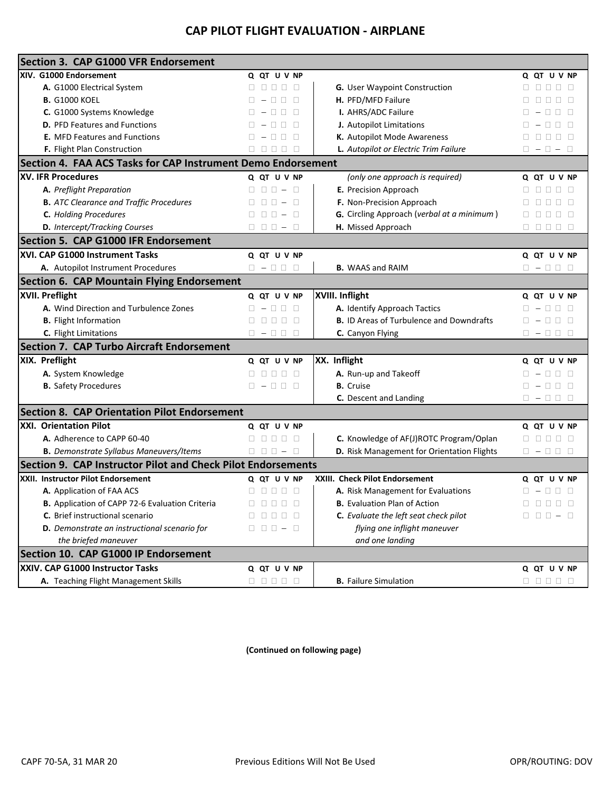## **CAP PILOT FLIGHT EVALUATION - AIRPLANE**

| Section 3. CAP G1000 VFR Endorsement                         |                                                                                                                                                                                                                                                                                                                                                                                                        |                                                 |                                                                                                 |
|--------------------------------------------------------------|--------------------------------------------------------------------------------------------------------------------------------------------------------------------------------------------------------------------------------------------------------------------------------------------------------------------------------------------------------------------------------------------------------|-------------------------------------------------|-------------------------------------------------------------------------------------------------|
| XIV. G1000 Endorsement                                       | Q QT U V NP                                                                                                                                                                                                                                                                                                                                                                                            |                                                 | Q QT U V NP                                                                                     |
| A. G1000 Electrical System                                   | $0 0 0 0 0 0$                                                                                                                                                                                                                                                                                                                                                                                          | G. User Waypoint Construction                   | 00000                                                                                           |
| <b>B.</b> G1000 KOEL                                         | $0 - 000$                                                                                                                                                                                                                                                                                                                                                                                              | H. PFD/MFD Failure                              | 00000                                                                                           |
| C. G1000 Systems Knowledge                                   | $0 - 0 0 0$                                                                                                                                                                                                                                                                                                                                                                                            | I. AHRS/ADC Failure                             | $\Box - \Box \Box \Box$                                                                         |
| <b>D.</b> PFD Features and Functions                         | $\Box - \Box \Box \Box$                                                                                                                                                                                                                                                                                                                                                                                | J. Autopilot Limitations                        | $\Box - \Box \Box \Box$                                                                         |
| <b>E.</b> MFD Features and Functions                         | $0 - 000$                                                                                                                                                                                                                                                                                                                                                                                              | K. Autopilot Mode Awareness                     | 00000                                                                                           |
| F. Flight Plan Construction                                  | 00000                                                                                                                                                                                                                                                                                                                                                                                                  | L. Autopilot or Electric Trim Failure           | $\Box - \Box - \Box$                                                                            |
| Section 4. FAA ACS Tasks for CAP Instrument Demo Endorsement |                                                                                                                                                                                                                                                                                                                                                                                                        |                                                 |                                                                                                 |
| <b>XV. IFR Procedures</b>                                    | Q QT U V NP                                                                                                                                                                                                                                                                                                                                                                                            | (only one approach is required)                 | Q QT U V NP                                                                                     |
| A. Preflight Preparation                                     | $0 0 0 - 0$                                                                                                                                                                                                                                                                                                                                                                                            | E. Precision Approach                           | 00000                                                                                           |
| <b>B.</b> ATC Clearance and Traffic Procedures               |                                                                                                                                                                                                                                                                                                                                                                                                        | F. Non-Precision Approach                       | 8888                                                                                            |
| C. Holding Procedures                                        | $0 0 0 - 0$                                                                                                                                                                                                                                                                                                                                                                                            | G. Circling Approach (verbal at a minimum)      | 8 8 8 8 8                                                                                       |
| D. Intercept/Tracking Courses                                | $0 0 0 - 0$                                                                                                                                                                                                                                                                                                                                                                                            | H. Missed Approach                              | 00000                                                                                           |
| <b>Section 5. CAP G1000 IFR Endorsement</b>                  |                                                                                                                                                                                                                                                                                                                                                                                                        |                                                 |                                                                                                 |
| XVI. CAP G1000 Instrument Tasks                              | Q QT U V NP                                                                                                                                                                                                                                                                                                                                                                                            |                                                 | Q QT U V NP                                                                                     |
| A. Autopilot Instrument Procedures                           | $0 - 000$                                                                                                                                                                                                                                                                                                                                                                                              | <b>B.</b> WAAS and RAIM                         | $0 - 000$                                                                                       |
| <b>Section 6. CAP Mountain Flying Endorsement</b>            |                                                                                                                                                                                                                                                                                                                                                                                                        |                                                 |                                                                                                 |
| XVII. Preflight                                              | Q QT U V NP                                                                                                                                                                                                                                                                                                                                                                                            | XVIII. Inflight                                 | Q QT U V NP                                                                                     |
| A. Wind Direction and Turbulence Zones                       | $\Box - \Box \Box \Box$                                                                                                                                                                                                                                                                                                                                                                                | A. Identify Approach Tactics                    | $\Box - \Box \Box \Box$                                                                         |
| <b>B.</b> Flight Information                                 | 00000                                                                                                                                                                                                                                                                                                                                                                                                  | <b>B.</b> ID Areas of Turbulence and Downdrafts | $\Box - \Box \Box \Box$                                                                         |
| C. Flight Limitations                                        | $\Box - \Box \Box$                                                                                                                                                                                                                                                                                                                                                                                     | C. Canyon Flying                                | $\Box - \Box \Box \Box$                                                                         |
| <b>Section 7. CAP Turbo Aircraft Endorsement</b>             |                                                                                                                                                                                                                                                                                                                                                                                                        |                                                 |                                                                                                 |
| XIX. Preflight                                               | Q QT U V NP                                                                                                                                                                                                                                                                                                                                                                                            | XX. Inflight                                    | Q QT U V NP                                                                                     |
| A. System Knowledge                                          | $0 0 0 0 0 0$                                                                                                                                                                                                                                                                                                                                                                                          | A. Run-up and Takeoff                           | $\Box - \Box \Box \Box$                                                                         |
| <b>B.</b> Safety Procedures                                  | $0 - 000$                                                                                                                                                                                                                                                                                                                                                                                              | <b>B.</b> Cruise                                | $\Box - \Box \Box \Box$                                                                         |
|                                                              |                                                                                                                                                                                                                                                                                                                                                                                                        | C. Descent and Landing                          | $\begin{array}{cccccccccccccc} \square & - & \square & \square & \square & \square \end{array}$ |
| <b>Section 8. CAP Orientation Pilot Endorsement</b>          |                                                                                                                                                                                                                                                                                                                                                                                                        |                                                 |                                                                                                 |
| <b>XXI. Orientation Pilot</b>                                | Q QT U V NP                                                                                                                                                                                                                                                                                                                                                                                            |                                                 | Q QT U V NP                                                                                     |
| A. Adherence to CAPP 60-40                                   | 00000                                                                                                                                                                                                                                                                                                                                                                                                  | C. Knowledge of AF(J)ROTC Program/Oplan         | 00000                                                                                           |
| <b>B.</b> Demonstrate Syllabus Maneuvers/Items               | $0 0 0 - 0$                                                                                                                                                                                                                                                                                                                                                                                            | D. Risk Management for Orientation Flights      | $\Box - \Box \Box \Box$                                                                         |
| Section 9. CAP Instructor Pilot and Check Pilot Endorsements |                                                                                                                                                                                                                                                                                                                                                                                                        |                                                 |                                                                                                 |
| XXII. Instructor Pilot Endorsement                           | Q QT U V NP                                                                                                                                                                                                                                                                                                                                                                                            | XXIII. Check Pilot Endorsement                  | Q QT U V NP                                                                                     |
| A. Application of FAA ACS                                    | $\begin{array}{cccccccccccccc} \Box & \Box & \Box & \Box & \Box & \Box \end{array}$                                                                                                                                                                                                                                                                                                                    | A. Risk Management for Evaluations              | $\begin{array}{cccccccccccccc} \square & - & \square & \square & \square & \square \end{array}$ |
| B. Application of CAPP 72-6 Evaluation Criteria              | $\begin{array}{c} \square \quad \square \quad \square \quad \square \quad \square \end{array}$                                                                                                                                                                                                                                                                                                         | <b>B.</b> Evaluation Plan of Action             | $\begin{array}{c c c c c} \Box & \Box & \Box & \Box & \Box \end{array}$                         |
| C. Brief instructional scenario                              | $\begin{array}{c c c c c c} \hline \rule{0pt}{16pt} \rule{0pt}{2pt} \rule{0pt}{2pt} \rule{0pt}{2pt} \rule{0pt}{2pt} \rule{0pt}{2pt} \rule{0pt}{2pt} \rule{0pt}{2pt} \rule{0pt}{2pt} \rule{0pt}{2pt} \rule{0pt}{2pt} \rule{0pt}{2pt} \rule{0pt}{2pt} \rule{0pt}{2pt} \rule{0pt}{2pt} \rule{0pt}{2pt} \rule{0pt}{2pt} \rule{0pt}{2pt} \rule{0pt}{2pt} \rule{0pt}{2pt} \rule{0pt}{2pt} \rule{0pt}{2pt} \$ | C. Evaluate the left seat check pilot           |                                                                                                 |
| D. Demonstrate an instructional scenario for                 | $0 0 0 - 0$                                                                                                                                                                                                                                                                                                                                                                                            | flying one inflight maneuver                    |                                                                                                 |
| the briefed maneuver                                         |                                                                                                                                                                                                                                                                                                                                                                                                        | and one landing                                 |                                                                                                 |
| Section 10. CAP G1000 IP Endorsement                         |                                                                                                                                                                                                                                                                                                                                                                                                        |                                                 |                                                                                                 |
| XXIV. CAP G1000 Instructor Tasks                             | Q QT U V NP                                                                                                                                                                                                                                                                                                                                                                                            |                                                 | Q QT U V NP                                                                                     |
| A. Teaching Flight Management Skills                         | $\begin{array}{c c c c c c} \Box & \Box & \Box & \Box & \Box \end{array}$                                                                                                                                                                                                                                                                                                                              | <b>B.</b> Failure Simulation                    | $\begin{array}{c} \square \quad \square \quad \square \quad \square \quad \square \end{array}$  |

**(Continued on following page)**